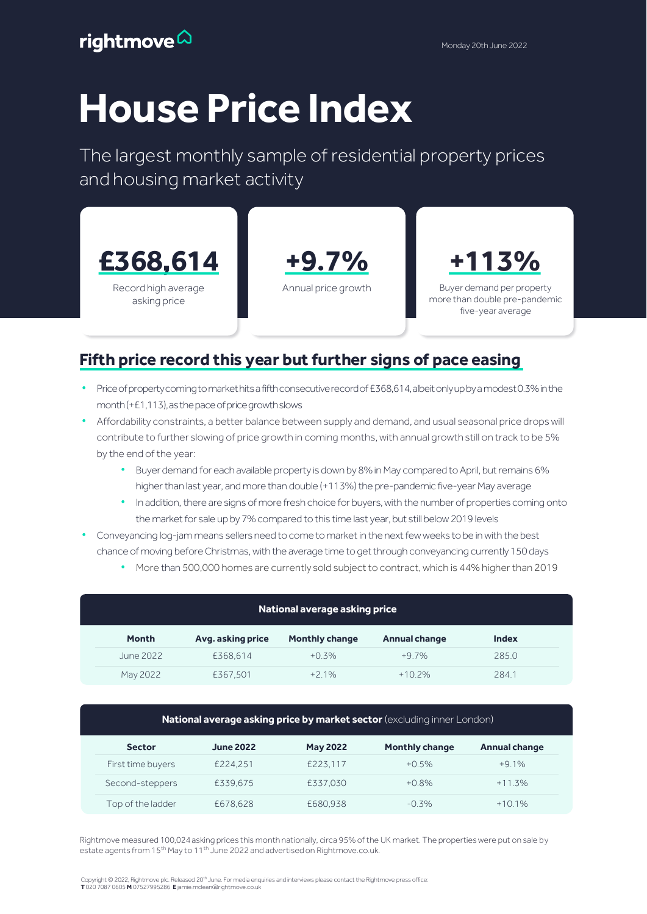# **House Price Index**

The largest monthly sample of residential property prices and housing market activity



#### Fifth price record this year but further signs of pace easing

- Price of property coming to market hits a fifth consecutive record of £368,614, albeit only up by a modest 0.3% in the month (+£1,113), as the pace of price growth slows
- Affordability constraints, a better balance between supply and demand, and usual seasonal price drops will contribute to further slowing of price growth in coming months, with annual growth still on track to be 5% by the end of the year:
	- Buyer demand for each available property is down by 8% in May compared to April, but remains 6% higher than last year, and more than double (+113%) the pre-pandemic five-year May average
	- In addition, there are signs of more fresh choice for buyers, with the number of properties coming onto the market for sale up by 7% compared to this time last year, but still below 2019 levels
- Conveyancing log-jam means sellers need to come to market in the next few weeks to be in with the best chance of moving before Christmas, with the average time to get through conveyancing currently 150 days
	- More than 500,000 homes are currently sold subject to contract, which is 44% higher than 2019

| National average asking price |                   |                       |                      |              |  |  |  |
|-------------------------------|-------------------|-----------------------|----------------------|--------------|--|--|--|
| <b>Month</b>                  | Avg. asking price | <b>Monthly change</b> | <b>Annual change</b> | <b>Index</b> |  |  |  |
| June 2022                     | £368.614          | $+0.3%$               | $+97%$               | 285.0        |  |  |  |
| May 2022                      | £367,501          | $+2.1%$               | $+10.2%$             | 284.1        |  |  |  |

| National average asking price by market sector (excluding inner London) |                  |                 |                       |                      |  |  |  |
|-------------------------------------------------------------------------|------------------|-----------------|-----------------------|----------------------|--|--|--|
| <b>Sector</b>                                                           | <b>June 2022</b> | <b>May 2022</b> | <b>Monthly change</b> | <b>Annual change</b> |  |  |  |
| First time buyers                                                       | £224.251         | £223.117        | $+0.5\%$              | $+9.1%$              |  |  |  |
| Second-steppers                                                         | £339.675         | £337.030        | $+0.8%$               | $+11.3%$             |  |  |  |
| Top of the ladder                                                       | £678,628         | £680.938        | $-0.3%$               | $+10.1%$             |  |  |  |

Rightmove measured 100,024 asking prices this month nationally, circa 95% of the UK market. The properties were put on sale by estate agents from 15<sup>th</sup> May to 11<sup>th</sup> June 2022 and advertised on Rightmove.co.uk.

Copyright © 2022, Rightmove plc. Released 20<sup>th</sup> June. For media enquiries and interviews please contact the Rightmove press office T 020 7087 0605 **M** 07527995286 E jamie.mclean@rightmove.co.uk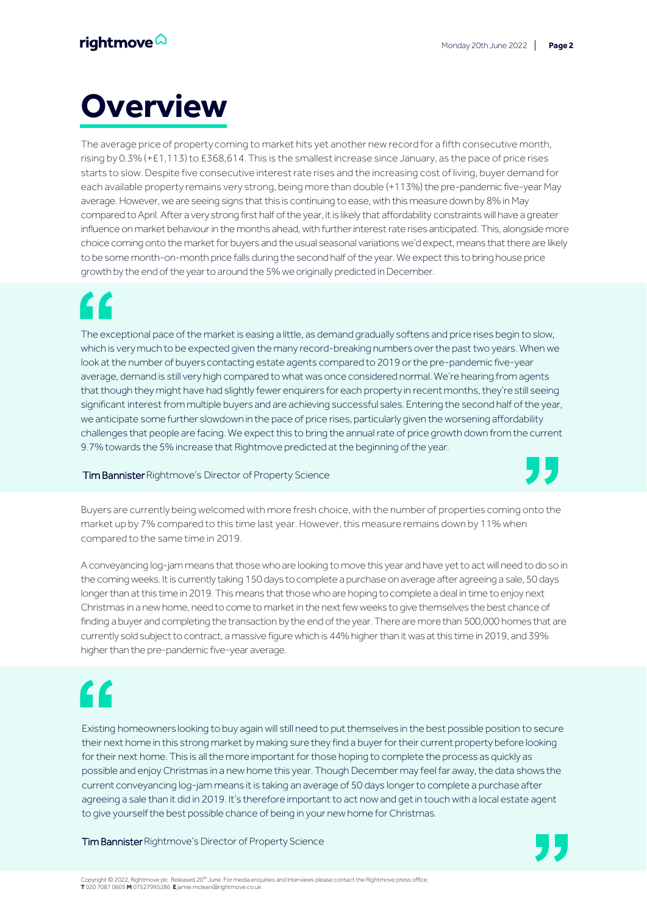## **Overview**

The average price of property coming to market hits yet another new record for a fifth consecutive month, rising by 0.3% (+£1,113) to £368,614. This is the smallest increase since January, as the pace of price rises starts to slow. Despite five consecutive interest rate rises and the increasing cost of living, buyer demand for each available property remains very strong, being more than double (+113%) the pre-pandemic five-year May average. However, we are seeing signs that this is continuing to ease, with this measure down by 8% in May compared to April. After a very strong first half of the year, it is likely that affordability constraints will have a greater influence on market behaviour in the months ahead, with further interest rate rises anticipated. This, alongside more choice coming onto the market for buyers and the usual seasonal variations we'd expect, means that there are likely to be some month-on-month price falls during the second half of the year. We expect this to bring house price growth by the end of the year to around the 5% we originally predicted in December.

## <u>C C</u>

The exceptional pace of the market is easing a little, as demand gradually softens and price rises begin to slow, which is very much to be expected given the many record-breaking numbers over the past two years. When we look at the number of buyers contacting estate agents compared to 2019 or the pre-pandemic five-year average, demand is still very high compared to what was once considered normal. We're hearing from agents that though they might have had slightly fewer enquirers for each property in recent months, they're still seeing significant interest from multiple buyers and are achieving successful sales. Entering the second half of the year, we anticipate some further slowdown in the pace of price rises, particularly given the worsening affordability challenges that people are facing. We expect this to bring the annual rate of price growth down from the current 9.7% towards the 5% increase that Rightmove predicted at the beginning of the year.

#### Tim Bannister Rightmove's Director of Property Science

Buyers are currently being welcomed with more fresh choice, with the number of properties coming onto the market up by 7% compared to this time last year. However, this measure remains down by 11% when compared to the same time in 2019.

A conveyancing log-jam means that those who are looking to move this year and have yet to act will need to do so in the coming weeks. It is currently taking 150 days to complete a purchase on average after agreeing a sale, 50 days longer than at this time in 2019. This means that those who are hoping to complete a deal in time to enjoy next Christmas in a new home, need to come to market in the next few weeks to give themselves the best chance of finding a buyer and completing the transaction by the end of the year. There are more than 500,000 homes that are currently sold subject to contract, a massive figure which is 44% higher than it was at this time in 2019, and 39% higher than the pre-pandemic five-year average.

## $\epsilon$

Existing homeowners looking to buy again will still need to put themselves in the best possible position to secure their next home in this strong market by making sure they find a buyer for their current property before looking for their next home. This is all the more important for those hoping to complete the process as quickly as possible and enjoy Christmas in a new home this year. Though December may feel far away, the data shows the current conveyancing log-jam means it is taking an average of 50 days longer to complete a purchase after agreeing a sale than it did in 2019. It's therefore important to act now and get in touch with a local estate agent to give yourself the best possible chance of being in your new home for Christmas.

Tim Bannister Rightmove's Director of Property Science

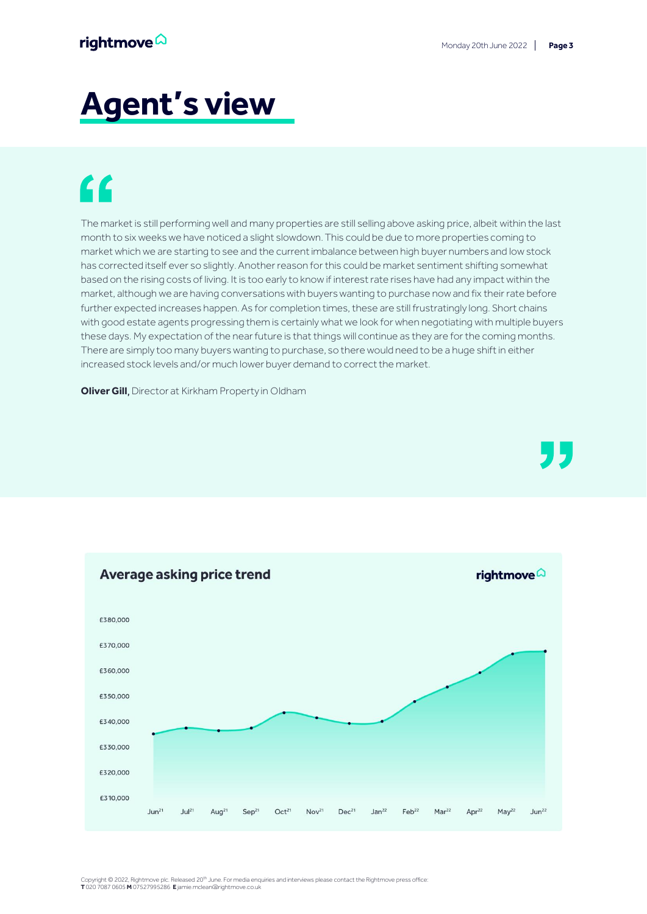## **Agent's view**

## "

The market is still performing well and many properties are still selling above asking price, albeit within the last month to six weeks we have noticed a slight slowdown. This could be due to more properties coming to market which we are starting to see and the current imbalance between high buyer numbers and low stock has corrected itself ever so slightly. Another reason for this could be market sentiment shifting somewhat based on the rising costs of living. It is too early to know if interest rate rises have had any impact within the market, although we are having conversations with buyers wanting to purchase now and fix their rate before further expected increases happen. As for completion times, these are still frustratingly long. Short chains with good estate agents progressing them is certainly what we look for when negotiating with multiple buyers these days. My expectation of the near future is that things will continue as they are for the coming months. There are simply too many buyers wanting to purchase, so there would need to be a huge shift in either increased stock levels and/or much lower buyer demand to correct the market.

**Oliver Gill**, Director at Kirkham Property in Oldham



Copyright © 2022, Rightmove plc. Released 20<sup>th</sup> June. For media enquiries and interviews please contact the Rightmove press office T 020 7087 0605 **M** 07527995286 E jamie.mclean@rightmove.co.uk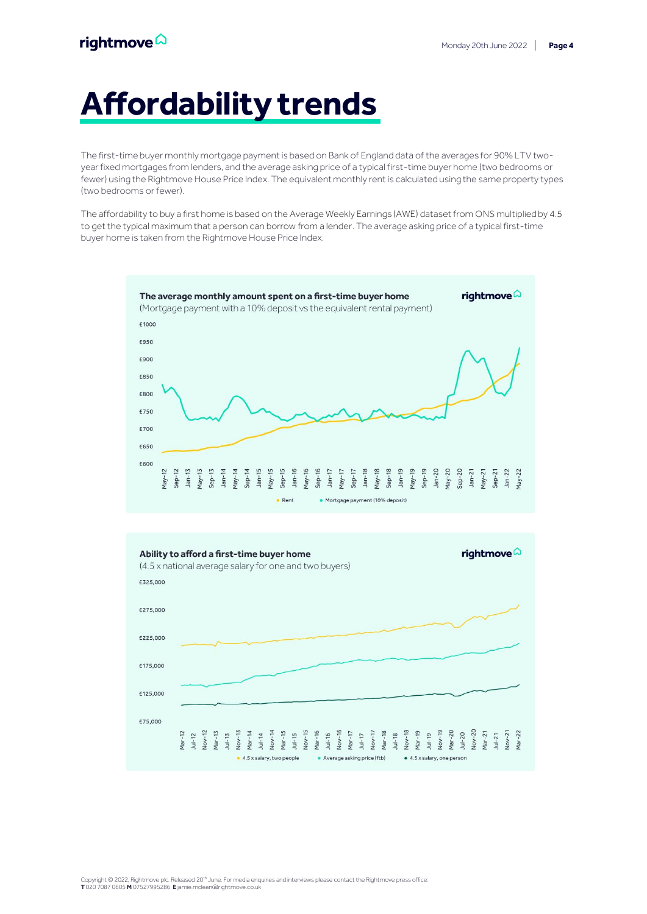## **Affordability trends**

The first-time buyer monthly mortgage payment is based on Bank of England data of the averages for 90% LTV twoyear fixed mortgages from lenders, and the average asking price of a typical first-time buyer home (two bedrooms or fewer) using the Rightmove House Price Index. The equivalent monthly rent is calculated using the same property types (two bedrooms or fewer).

The affordability to buy a first home is based on the Average Weekly Earnings (AWE) dataset from ONS multiplied by 4.5 to get the typical maximum that a person can borrow from a lender. The average asking price of a typical first-time buyer home is taken from the Rightmove House Price Index.



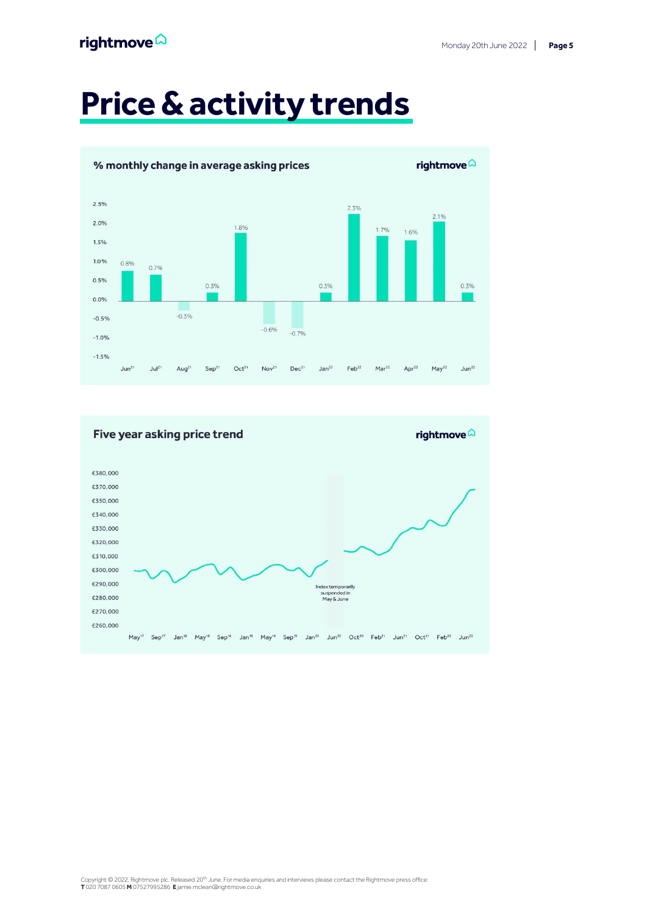#### rightmove $\hat{\omega}$

## **Price & activity trends**



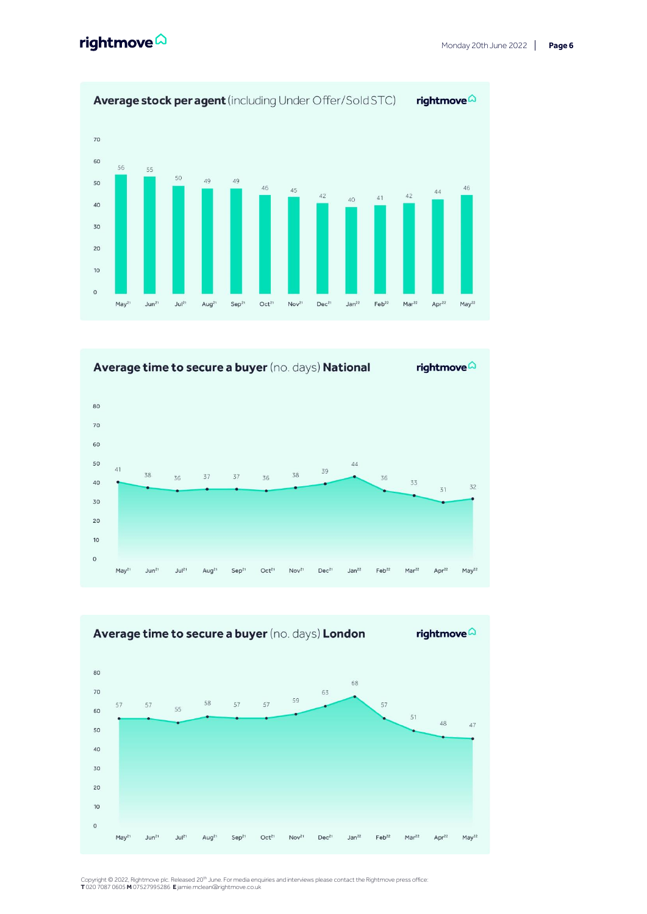





Copyright © 2022, Rightmove plc. Released 20<sup>th</sup> June. For media enquiries and interviews please contact the Rightmove press office:<br>**T** 020 7087 0605 **M** 07527995286 **E** jamie.mclean@rightmove.co.uk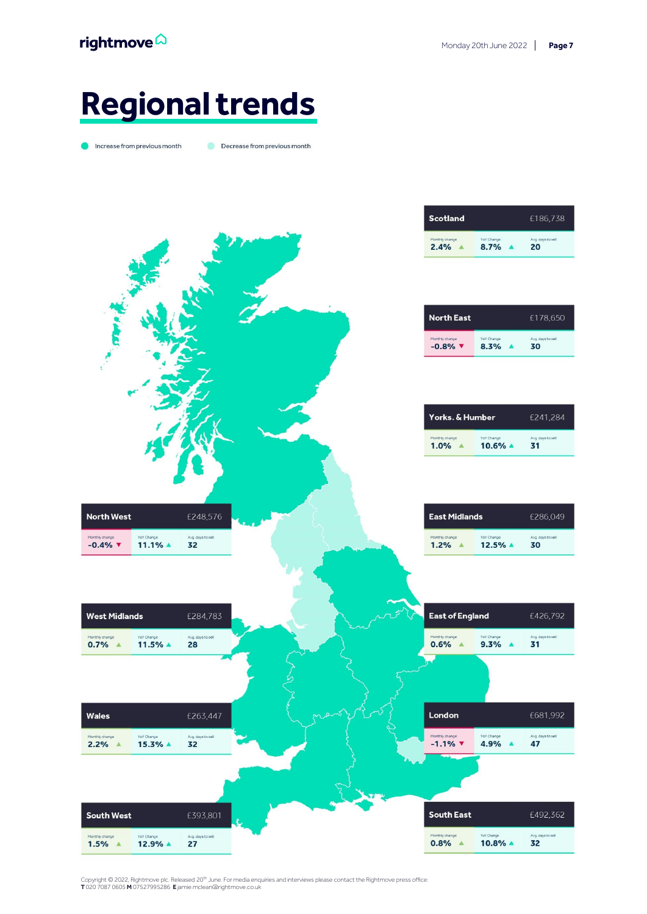### **Regional trends**

ncrease from previous month

Decrease from previous month



Copyright © 2022, Rightmove plc. Released 20<sup>th</sup> June. For media enquiries and interviews please contact the Rightmove press office:<br>**T** 020 7087 0605 **M** 07527995286 **E** jamie.mclean@rightmove.co.uk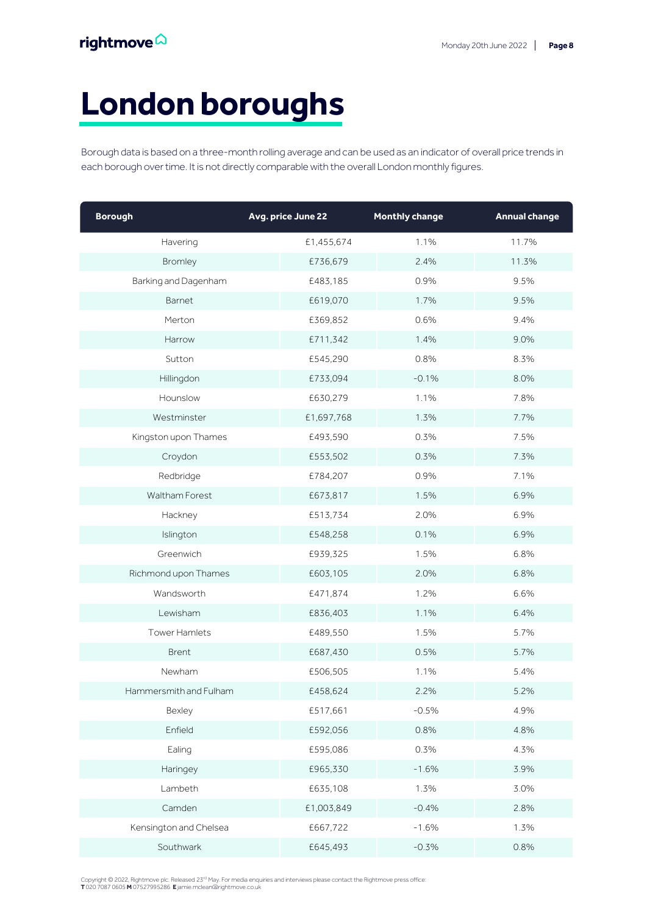## **London boroughs**

Borough data is based on a three-month rolling average and can be used as an indicator of overall price trends in each borough over time. It is not directly comparable with the overall London monthly figures.

| <b>Borough</b>         | Avg. price June 22 | <b>Monthly change</b> | <b>Annual change</b> |
|------------------------|--------------------|-----------------------|----------------------|
| Havering               | £1,455,674         | 1.1%                  | 11.7%                |
| Bromley                | £736,679           | 2.4%                  | 11.3%                |
| Barking and Dagenham   | £483,185           | 0.9%                  | 9.5%                 |
| Barnet                 | £619,070           | 1.7%                  | 9.5%                 |
| Merton                 | £369,852           | 0.6%                  | 9.4%                 |
| Harrow                 | £711,342           | 1.4%                  | 9.0%                 |
| Sutton                 | £545,290           | 0.8%                  | 8.3%                 |
| Hillingdon             | £733,094           | $-0.1%$               | 8.0%                 |
| Hounslow               | £630,279           | 1.1%                  | 7.8%                 |
| Westminster            | £1,697,768         | 1.3%                  | 7.7%                 |
| Kingston upon Thames   | £493,590           | 0.3%                  | 7.5%                 |
| Croydon                | £553,502           | 0.3%                  | 7.3%                 |
| Redbridge              | £784,207           | 0.9%                  | 7.1%                 |
| Waltham Forest         | £673,817           | 1.5%                  | 6.9%                 |
| Hackney                | £513,734           | 2.0%                  | 6.9%                 |
| Islington              | £548,258           | 0.1%                  | 6.9%                 |
| Greenwich              | £939,325           | 1.5%                  | 6.8%                 |
| Richmond upon Thames   | £603,105           | 2.0%                  | 6.8%                 |
| Wandsworth             | £471,874           | 1.2%                  | 6.6%                 |
| Lewisham               | £836,403           | 1.1%                  | 6.4%                 |
| Tower Hamlets          | £489,550           | 1.5%                  | 5.7%                 |
| Brent                  | £687,430           | 0.5%                  | 5.7%                 |
| Newham                 | £506,505           | 1.1%                  | 5.4%                 |
| Hammersmith and Fulham | £458,624           | 2.2%                  | 5.2%                 |
| Bexley                 | £517,661           | $-0.5%$               | 4.9%                 |
| Enfield                | £592,056           | 0.8%                  | 4.8%                 |
| Ealing                 | £595,086           | 0.3%                  | 4.3%                 |
| Haringey               | £965,330           | $-1.6%$               | 3.9%                 |
| Lambeth                | £635,108           | 1.3%                  | 3.0%                 |
| Camden                 | £1,003,849         | $-0.4%$               | 2.8%                 |
| Kensington and Chelsea | £667,722           | $-1.6%$               | 1.3%                 |
| Southwark              | £645,493           | $-0.3%$               | 0.8%                 |

Copyright © 2022, Rightmove plc. Released 23<sup>rd</sup> May. For media enquiries and interviews please contact the Rightmove press office:<br>**T** 020 7087 0605 **M** 07527995286 **E** jamie.mclean@rightmove.co.uk